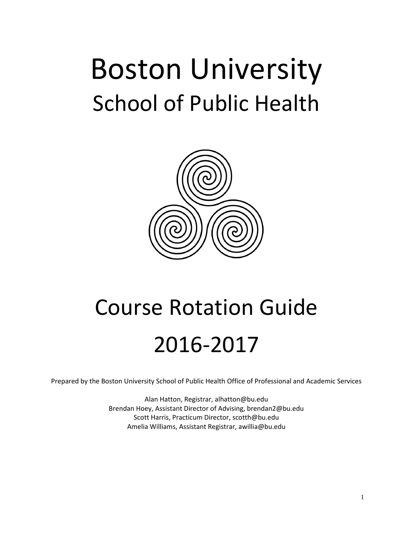# Boston University School of Public Health



# Course Rotation Guide 2016-2017

Prepared by the Boston University School of Public Health Office of Professional and Academic Services

Alan Hatton, Registrar, alhatton@bu.edu Brendan Hoey, Assistant Director of Advising, brendan2@bu.edu Scott Harris, Practicum Director, scotth@bu.edu Amelia Williams, Assistant Registrar, awillia@bu.edu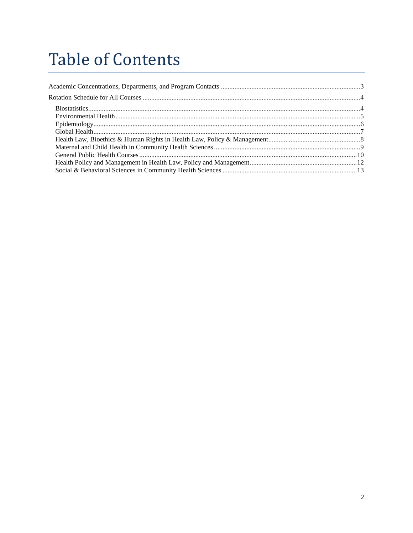# **Table of Contents**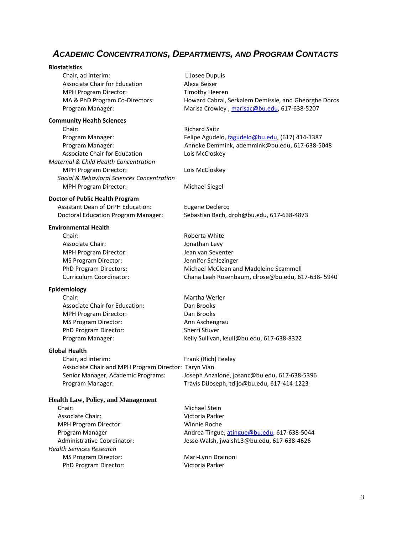# <span id="page-2-0"></span> *ACADEMIC CONCENTRATIONS, DEPARTMENTS, AND PROGRAM CONTACTS*

| <b>Biostatistics</b>                                   |                                                                                             |
|--------------------------------------------------------|---------------------------------------------------------------------------------------------|
| Chair, ad interim:                                     | L Josee Dupuis                                                                              |
| <b>Associate Chair for Education</b>                   | Alexa Beiser                                                                                |
| <b>MPH Program Director:</b>                           | <b>Timothy Heeren</b>                                                                       |
| MA & PhD Program Co-Directors:                         | Howard Cabral, Serkalem Demissie, and Gheorghe Doros                                        |
| Program Manager:                                       | Marisa Crowley, marisac@bu.edu, 617-638-5207                                                |
| <b>Community Health Sciences</b>                       |                                                                                             |
| Chair:                                                 | <b>Richard Saitz</b>                                                                        |
| Program Manager:                                       | Felipe Agudelo, fagudelo@bu.edu, (617) 414-1387                                             |
| Program Manager:                                       | Anneke Demmink, ademmink@bu.edu, 617-638-5048                                               |
| Associate Chair for Education                          | Lois McCloskey                                                                              |
| Maternal & Child Health Concentration                  |                                                                                             |
| <b>MPH Program Director:</b>                           | Lois McCloskey                                                                              |
| Social & Behavioral Sciences Concentration             |                                                                                             |
| <b>MPH Program Director:</b>                           | <b>Michael Siegel</b>                                                                       |
| Doctor of Public Health Program                        |                                                                                             |
| <b>Assistant Dean of DrPH Education:</b>               | <b>Eugene Declercq</b>                                                                      |
| <b>Doctoral Education Program Manager:</b>             | Sebastian Bach, drph@bu.edu, 617-638-4873                                                   |
| <b>Environmental Health</b>                            | Roberta White                                                                               |
| Chair:<br>Associate Chair:                             |                                                                                             |
|                                                        | Jonathan Levy<br>Jean van Seventer                                                          |
| <b>MPH Program Director:</b>                           |                                                                                             |
| <b>MS Program Director:</b><br>PhD Program Directors:  | Jennifer Schlezinger<br>Michael McClean and Madeleine Scammell                              |
| Curriculum Coordinator:                                |                                                                                             |
|                                                        | Chana Leah Rosenbaum, clrose@bu.edu, 617-638-5940                                           |
| Epidemiology                                           |                                                                                             |
| Chair:                                                 | Martha Werler                                                                               |
| <b>Associate Chair for Education:</b>                  | Dan Brooks                                                                                  |
| <b>MPH Program Director:</b>                           | Dan Brooks                                                                                  |
| <b>MS Program Director:</b>                            | Ann Aschengrau                                                                              |
| PhD Program Director:                                  | Sherri Stuver                                                                               |
| Program Manager:                                       | Kelly Sullivan, ksull@bu.edu, 617-638-8322                                                  |
| <b>Global Health</b>                                   |                                                                                             |
| Chair, ad interim:                                     | Frank (Rich) Feeley                                                                         |
| Associate Chair and MPH Program Director: Taryn Vian   |                                                                                             |
| Senior Manager, Academic Programs:<br>Program Manager: | Joseph Anzalone, josanz@bu.edu, 617-638-5396<br>Travis DiJoseph, tdijo@bu.edu, 617-414-1223 |
|                                                        |                                                                                             |
| <b>Health Law, Policy, and Management</b><br>Chair:    | Michael Stein                                                                               |
| <b>Associate Chair:</b>                                | Victoria Parker                                                                             |
| <b>MPH Program Director:</b>                           | <b>Winnie Roche</b>                                                                         |
| Program Manager                                        |                                                                                             |
| Administrative Coordinator:                            | Andrea Tingue, atingue@bu.edu, 617-638-5044<br>Jesse Walsh, jwalsh13@bu.edu, 617-638-4626   |
| <b>Health Services Research</b>                        |                                                                                             |
| <b>MS Program Director:</b>                            | Mari-Lynn Drainoni                                                                          |
| PhD Program Director:                                  | Victoria Parker                                                                             |
|                                                        |                                                                                             |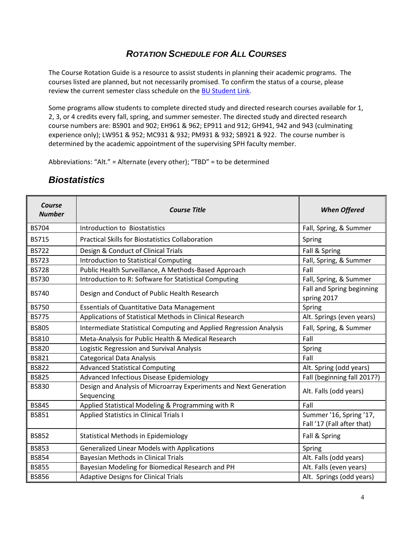#### *ROTATION SCHEDULE FOR ALL COURSES*

<span id="page-3-0"></span>The Course Rotation Guide is a resource to assist students in planning their academic programs. The courses listed are planned, but not necessarily promised. To confirm the status of a course, please review the current semester class schedule on th[e BU Student Link.](http://www.bu.edu/studentlink)

Some programs allow students to complete directed study and directed research courses available for 1, 2, 3, or 4 credits every fall, spring, and summer semester. The directed study and directed research course numbers are: BS901 and 902; EH961 & 962; EP911 and 912; GH941, 942 and 943 (culminating experience only); LW951 & 952; MC931 & 932; PM931 & 932; SB921 & 922. The course number is determined by the academic appointment of the supervising SPH faculty member.

Abbreviations: "Alt." = Alternate (every other); "TBD" = to be determined

| Course<br><b>Number</b> | <b>Course Title</b>                                                             | <b>When Offered</b>                                   |
|-------------------------|---------------------------------------------------------------------------------|-------------------------------------------------------|
| <b>BS704</b>            | Introduction to Biostatistics                                                   | Fall, Spring, & Summer                                |
| <b>BS715</b>            | <b>Practical Skills for Biostatistics Collaboration</b>                         | Spring                                                |
| <b>BS722</b>            | Design & Conduct of Clinical Trials                                             | Fall & Spring                                         |
| <b>BS723</b>            | <b>Introduction to Statistical Computing</b>                                    | Fall, Spring, & Summer                                |
| <b>BS728</b>            | Public Health Surveillance, A Methods-Based Approach                            | Fall                                                  |
| <b>BS730</b>            | Introduction to R: Software for Statistical Computing                           | Fall, Spring, & Summer                                |
| <b>BS740</b>            | Design and Conduct of Public Health Research                                    | Fall and Spring beginning<br>spring 2017              |
| <b>BS750</b>            | <b>Essentials of Quantitative Data Management</b>                               | Spring                                                |
| <b>BS775</b>            | Applications of Statistical Methods in Clinical Research                        | Alt. Springs (even years)                             |
| <b>BS805</b>            | Intermediate Statistical Computing and Applied Regression Analysis              | Fall, Spring, & Summer                                |
| <b>BS810</b>            | Meta-Analysis for Public Health & Medical Research                              | Fall                                                  |
| <b>BS820</b>            | Logistic Regression and Survival Analysis                                       | Spring                                                |
| <b>BS821</b>            | <b>Categorical Data Analysis</b>                                                | Fall                                                  |
| <b>BS822</b>            | <b>Advanced Statistical Computing</b>                                           | Alt. Spring (odd years)                               |
| <b>BS825</b>            | Advanced Infectious Disease Epidemiology                                        | Fall (beginning fall 2017?)                           |
| <b>BS830</b>            | Design and Analysis of Microarray Experiments and Next Generation<br>Sequencing | Alt. Falls (odd years)                                |
| <b>BS845</b>            | Applied Statistical Modeling & Programming with R                               | Fall                                                  |
| <b>BS851</b>            | <b>Applied Statistics in Clinical Trials I</b>                                  | Summer '16, Spring '17,<br>Fall '17 (Fall after that) |
| <b>BS852</b>            | <b>Statistical Methods in Epidemiology</b>                                      | Fall & Spring                                         |
| <b>BS853</b>            | <b>Generalized Linear Models with Applications</b>                              | Spring                                                |
| <b>BS854</b>            | <b>Bayesian Methods in Clinical Trials</b>                                      | Alt. Falls (odd years)                                |
| <b>BS855</b>            | Bayesian Modeling for Biomedical Research and PH                                | Alt. Falls (even years)                               |
| <b>BS856</b>            | <b>Adaptive Designs for Clinical Trials</b>                                     | Alt. Springs (odd years)                              |

#### <span id="page-3-1"></span>*Biostatistics*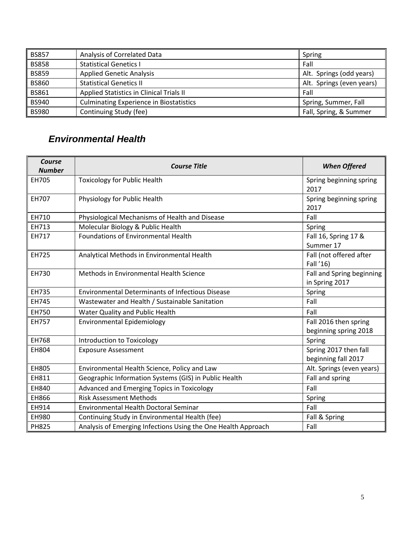| <b>BS857</b> | Analysis of Correlated Data                    | Spring                    |
|--------------|------------------------------------------------|---------------------------|
| <b>BS858</b> | <b>Statistical Genetics I</b>                  | Fall                      |
| <b>BS859</b> | <b>Applied Genetic Analysis</b>                | Alt. Springs (odd years)  |
| <b>BS860</b> | <b>Statistical Genetics II</b>                 | Alt. Springs (even years) |
| <b>BS861</b> | Applied Statistics in Clinical Trials II       | Fall                      |
| <b>BS940</b> | <b>Culminating Experience in Biostatistics</b> | Spring, Summer, Fall      |
| <b>BS980</b> | Continuing Study (fee)                         | Fall, Spring, & Summer    |

### <span id="page-4-0"></span>*Environmental Health*

| Course<br><b>Number</b> | <b>Course Title</b>                                           | <b>When Offered</b>                            |
|-------------------------|---------------------------------------------------------------|------------------------------------------------|
| EH705                   | <b>Toxicology for Public Health</b>                           | Spring beginning spring<br>2017                |
| EH707                   | Physiology for Public Health                                  | Spring beginning spring<br>2017                |
| EH710                   | Physiological Mechanisms of Health and Disease                | Fall                                           |
| EH713                   | Molecular Biology & Public Health                             | Spring                                         |
| EH717                   | <b>Foundations of Environmental Health</b>                    | Fall 16, Spring 17 &<br>Summer 17              |
| EH725                   | Analytical Methods in Environmental Health                    | Fall (not offered after<br>Fall '16)           |
| EH730                   | Methods in Environmental Health Science                       | Fall and Spring beginning<br>in Spring 2017    |
| EH735                   | <b>Environmental Determinants of Infectious Disease</b>       | Spring                                         |
| EH745                   | Wastewater and Health / Sustainable Sanitation                | Fall                                           |
| EH750                   | Water Quality and Public Health                               | Fall                                           |
| <b>EH757</b>            | <b>Environmental Epidemiology</b>                             | Fall 2016 then spring<br>beginning spring 2018 |
| <b>EH768</b>            | Introduction to Toxicology                                    | Spring                                         |
| <b>EH804</b>            | <b>Exposure Assessment</b>                                    | Spring 2017 then fall<br>beginning fall 2017   |
| EH805                   | Environmental Health Science, Policy and Law                  | Alt. Springs (even years)                      |
| EH811                   | Geographic Information Systems (GIS) in Public Health         | Fall and spring                                |
| EH840                   | Advanced and Emerging Topics in Toxicology                    | Fall                                           |
| EH866                   | <b>Risk Assessment Methods</b>                                | Spring                                         |
| EH914                   | <b>Environmental Health Doctoral Seminar</b>                  | Fall                                           |
| EH980                   | Continuing Study in Environmental Health (fee)                | Fall & Spring                                  |
| <b>PH825</b>            | Analysis of Emerging Infections Using the One Health Approach | Fall                                           |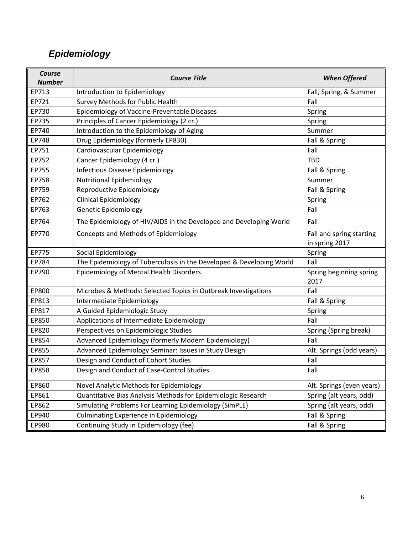# <span id="page-5-0"></span>*Epidemiology*

| Course<br><b>Number</b> | <b>Course Title</b>                                                  | <b>When Offered</b>                        |
|-------------------------|----------------------------------------------------------------------|--------------------------------------------|
| EP713                   | Introduction to Epidemiology                                         | Fall, Spring, & Summer                     |
| EP721                   | Survey Methods for Public Health                                     | Fall                                       |
| EP730                   | Epidemiology of Vaccine-Preventable Diseases                         | Spring                                     |
| EP735                   | Principles of Cancer Epidemiology (2 cr.)                            | Spring                                     |
| EP740                   | Introduction to the Epidemiology of Aging                            | Summer                                     |
| EP748                   | Drug Epidemiology (formerly EP830)                                   | Fall & Spring                              |
| EP751                   | Cardiovascular Epidemiology                                          | Fall                                       |
| EP752                   | Cancer Epidemiology (4 cr.)                                          | <b>TBD</b>                                 |
| EP755                   | <b>Infectious Disease Epidemiology</b>                               | Fall & Spring                              |
| EP758                   | <b>Nutritional Epidemiology</b>                                      | Summer                                     |
| EP759                   | Reproductive Epidemiology                                            | Fall & Spring                              |
| EP762                   | <b>Clinical Epidemiology</b>                                         | Spring                                     |
| EP763                   | <b>Genetic Epidemiology</b>                                          | Fall                                       |
| EP764                   | The Epidemiology of HIV/AIDS in the Developed and Developing World   | Fall                                       |
| EP770                   | Concepts and Methods of Epidemiology                                 | Fall and spring starting<br>in spring 2017 |
| EP775                   | Social Epidemiology                                                  | Spring                                     |
| EP784                   | The Epidemiology of Tuberculosis in the Developed & Developing World | Fall                                       |
| EP790                   | Epidemiology of Mental Health Disorders                              | Spring beginning spring<br>2017            |
| EP800                   | Microbes & Methods: Selected Topics in Outbreak Investigations       | Fall                                       |
| EP813                   | Intermediate Epidemiology                                            | Fall & Spring                              |
| EP817                   | A Guided Epidemiologic Study                                         | Spring                                     |
| EP850                   | Applications of Intermediate Epidemiology                            | Fall                                       |
| EP820                   | Perspectives on Epidemiologic Studies                                | Spring (Spring break)                      |
| EP854                   | Advanced Epidemiology (formerly Modern Epidemiology)                 | Fall                                       |
| EP855                   | Advanced Epidemiology Seminar: Issues in Study Design                | Alt. Springs (odd years)                   |
| EP857                   | Design and Conduct of Cohort Studies                                 | Fall                                       |
| EP858                   | Design and Conduct of Case-Control Studies                           | Fall                                       |
| EP860                   | Novel Analytic Methods for Epidemiology                              | Alt. Springs (even years)                  |
| EP861                   | Quantitative Bias Analysis Methods for Epidemiologic Research        | Spring (alt years, odd)                    |
| EP862                   | Simulating Problems For Learning Epidemiology (SimPLE)               | Spring (alt years, odd)                    |
| EP940                   | <b>Culminating Experience in Epidemiology</b>                        | Fall & Spring                              |
| EP980                   | Continuing Study in Epidemiology (fee)                               | Fall & Spring                              |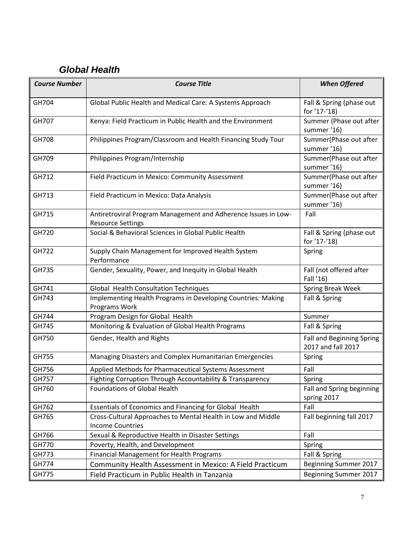# <span id="page-6-0"></span> *Global Health*

| <b>Course Number</b> | <b>Course Title</b>                                                                        | <b>When Offered</b>                                  |
|----------------------|--------------------------------------------------------------------------------------------|------------------------------------------------------|
| GH704                | Global Public Health and Medical Care: A Systems Approach                                  | Fall & Spring (phase out                             |
| GH707                | Kenya: Field Practicum in Public Health and the Environment                                | for '17-'18)<br>Summer (Phase out after              |
| GH708                | Philippines Program/Classroom and Health Financing Study Tour                              | summer '16)<br>Summer(Phase out after                |
| GH709                | Philippines Program/Internship                                                             | summer '16)<br>Summer(Phase out after                |
| GH712                | Field Practicum in Mexico: Community Assessment                                            | summer '16)<br>Summer(Phase out after                |
| GH713                | Field Practicum in Mexico: Data Analysis                                                   | summer '16)<br>Summer(Phase out after<br>summer '16) |
| GH715                | Antiretroviral Program Management and Adherence Issues in Low-<br><b>Resource Settings</b> | Fall                                                 |
| GH720                | Social & Behavioral Sciences in Global Public Health                                       | Fall & Spring (phase out<br>for '17-'18)             |
| GH722                | Supply Chain Management for Improved Health System<br>Performance                          | Spring                                               |
| GH735                | Gender, Sexuality, Power, and Inequity in Global Health                                    | Fall (not offered after<br>Fall '16)                 |
| GH741                | Global Health Consultation Techniques                                                      | Spring Break Week                                    |
| GH743                | Implementing Health Programs in Developing Countries: Making<br>Programs Work              | Fall & Spring                                        |
| GH744                | Program Design for Global Health                                                           | Summer                                               |
| GH745                | Monitoring & Evaluation of Global Health Programs                                          | Fall & Spring                                        |
| GH750                | Gender, Health and Rights                                                                  | Fall and Beginning Spring<br>2017 and fall 2017      |
| GH755                | Managing Disasters and Complex Humanitarian Emergencies                                    | Spring                                               |
| GH756                | Applied Methods for Pharmaceutical Systems Assessment                                      | Fall                                                 |
| GH757                | Fighting Corruption Through Accountability & Transparency                                  | Spring                                               |
| GH760                | <b>Foundations of Global Health</b>                                                        | Fall and Spring beginning<br>spring 2017             |
| GH762                | Essentials of Economics and Financing for Global Health                                    | Fall                                                 |
| GH765                | Cross-Cultural Approaches to Mental Health in Low and Middle<br><b>Income Countries</b>    | Fall beginning fall 2017                             |
| GH766                | Sexual & Reproductive Health in Disaster Settings                                          | Fall                                                 |
| GH770                | Poverty, Health, and Development                                                           | Spring                                               |
| GH773                | Financial Management for Health Programs                                                   | Fall & Spring                                        |
| GH774                | Community Health Assessment in Mexico: A Field Practicum                                   | Beginning Summer 2017                                |
| GH775                | Field Practicum in Public Health in Tanzania                                               | Beginning Summer 2017                                |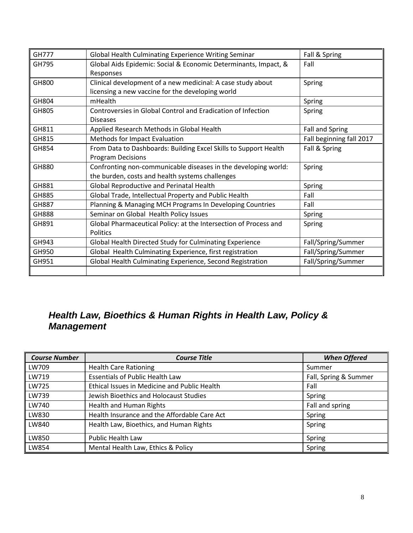| <b>GH777</b> | Global Health Culminating Experience Writing Seminar             | Fall & Spring            |
|--------------|------------------------------------------------------------------|--------------------------|
| GH795        | Global Aids Epidemic: Social & Economic Determinants, Impact, &  | Fall                     |
|              | Responses                                                        |                          |
| GH800        | Clinical development of a new medicinal: A case study about      | Spring                   |
|              | licensing a new vaccine for the developing world                 |                          |
| GH804        | mHealth                                                          | Spring                   |
| GH805        | Controversies in Global Control and Eradication of Infection     | Spring                   |
|              | <b>Diseases</b>                                                  |                          |
| GH811        | Applied Research Methods in Global Health                        | <b>Fall and Spring</b>   |
| GH815        | Methods for Impact Evaluation                                    | Fall beginning fall 2017 |
| GH854        | From Data to Dashboards: Building Excel Skills to Support Health | Fall & Spring            |
|              | <b>Program Decisions</b>                                         |                          |
| GH880        | Confronting non-communicable diseases in the developing world:   | Spring                   |
|              | the burden, costs and health systems challenges                  |                          |
| GH881        | Global Reproductive and Perinatal Health                         | Spring                   |
| GH885        | Global Trade, Intellectual Property and Public Health            | Fall                     |
| GH887        | Planning & Managing MCH Programs In Developing Countries         | Fall                     |
| GH888        | Seminar on Global Health Policy Issues                           | Spring                   |
| GH891        | Global Pharmaceutical Policy: at the Intersection of Process and | Spring                   |
|              | <b>Politics</b>                                                  |                          |
| GH943        | Global Health Directed Study for Culminating Experience          | Fall/Spring/Summer       |
| GH950        | Global Health Culminating Experience, first registration         | Fall/Spring/Summer       |
| GH951        | Global Health Culminating Experience, Second Registration        | Fall/Spring/Summer       |
|              |                                                                  |                          |

### <span id="page-7-0"></span>*Health Law, Bioethics & Human Rights in Health Law, Policy & Management*

| <b>Course Number</b> | <b>Course Title</b>                          | <b>When Offered</b>   |
|----------------------|----------------------------------------------|-----------------------|
| LW709                | <b>Health Care Rationing</b>                 | Summer                |
| LW719                | <b>Essentials of Public Health Law</b>       | Fall, Spring & Summer |
| LW725                | Ethical Issues in Medicine and Public Health | Fall                  |
| LW739                | Jewish Bioethics and Holocaust Studies       | Spring                |
| LW740                | <b>Health and Human Rights</b>               | Fall and spring       |
| LW830                | Health Insurance and the Affordable Care Act | Spring                |
| LW840                | Health Law, Bioethics, and Human Rights      | Spring                |
| LW850                | <b>Public Health Law</b>                     | Spring                |
| LW854                | Mental Health Law, Ethics & Policy           | Spring                |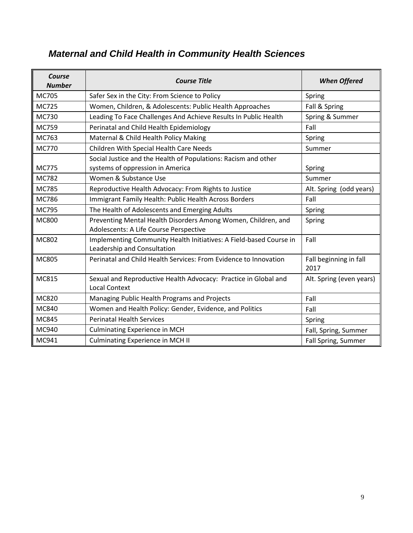#### *Course Number Course Title When Offered* MC705 Safer Sex in the City: From Science to Policy Spring Spring MC725 Women, Children, & Adolescents: Public Health Approaches Fall & Spring MC730 | Leading To Face Challenges And Achieve Results In Public Health | Spring & Summer MC759 Perinatal and Child Health Epidemiology Fall MC763 Maternal & Child Health Policy Making Number 2016 Spring MC770 | Children With Special Health Care Needs | Summer MC775 Social Justice and the Health of Populations: Racism and other systems of oppression in America Spring Spring Spring Spring MC782 Women & Substance Use Summer Summer Summer MC785 Reproductive Health Advocacy: From Rights to Justice | Alt. Spring (odd years) MC786 | Immigrant Family Health: Public Health Across Borders | Fall  $MCI95$  The Health of Adolescents and Emerging Adults  $\Box$  Spring MC800 Preventing Mental Health Disorders Among Women, Children, and Adolescents: A Life Course Perspective Spring MC802 | Implementing Community Health Initiatives: A Field-based Course in Leadership and Consultation Fall MC805 Perinatal and Child Health Services: From Evidence to Innovation | Fall beginning in fall 2017 MC815 Sexual and Reproductive Health Advocacy: Practice in Global and Local Context Alt. Spring (even years) MC820 Managing Public Health Programs and Projects Fall MC840 Women and Health Policy: Gender, Evidence, and Politics Fall MC845 Perinatal Health Services Spring Spring Spring Spring MC940 | Culminating Experience in MCH Fall, Spring, Summer MC941 | Culminating Experience in MCH II **Fall Spring, Summer** | Fall Spring, Summer

#### <span id="page-8-0"></span>*Maternal and Child Health in Community Health Sciences*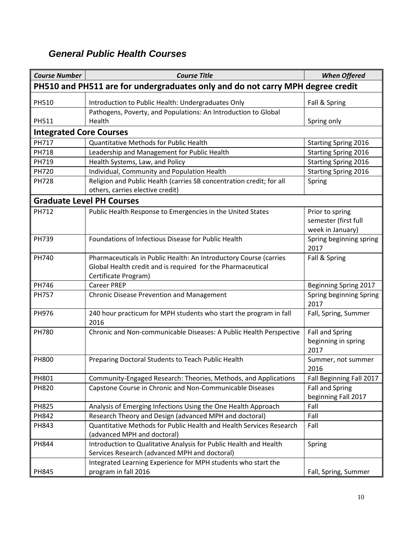#### <span id="page-9-0"></span>*General Public Health Courses*

| <b>Course Number</b>           | <b>Course Title</b>                                                                                                                                      | <b>When Offered</b>                                         |
|--------------------------------|----------------------------------------------------------------------------------------------------------------------------------------------------------|-------------------------------------------------------------|
|                                | PH510 and PH511 are for undergraduates only and do not carry MPH degree credit                                                                           |                                                             |
| PH510                          | Introduction to Public Health: Undergraduates Only                                                                                                       | Fall & Spring                                               |
|                                | Pathogens, Poverty, and Populations: An Introduction to Global                                                                                           |                                                             |
| PH511                          | Health                                                                                                                                                   | Spring only                                                 |
| <b>Integrated Core Courses</b> |                                                                                                                                                          |                                                             |
| <b>PH717</b>                   | Quantitative Methods for Public Health                                                                                                                   | <b>Starting Spring 2016</b>                                 |
| <b>PH718</b>                   | Leadership and Management for Public Health                                                                                                              | <b>Starting Spring 2016</b>                                 |
| PH719                          | Health Systems, Law, and Policy                                                                                                                          | <b>Starting Spring 2016</b>                                 |
| <b>PH720</b>                   | Individual, Community and Population Health                                                                                                              | <b>Starting Spring 2016</b>                                 |
| <b>PH728</b>                   | Religion and Public Health (carries SB concentration credit; for all<br>others, carries elective credit)                                                 | Spring                                                      |
|                                | <b>Graduate Level PH Courses</b>                                                                                                                         |                                                             |
| PH712                          | Public Health Response to Emergencies in the United States                                                                                               | Prior to spring<br>semester (first full<br>week in January) |
| <b>PH739</b>                   | Foundations of Infectious Disease for Public Health                                                                                                      | Spring beginning spring<br>2017                             |
| PH740                          | Pharmaceuticals in Public Health: An Introductory Course (carries<br>Global Health credit and is required for the Pharmaceutical<br>Certificate Program) | Fall & Spring                                               |
| PH746                          | <b>Career PREP</b>                                                                                                                                       | <b>Beginning Spring 2017</b>                                |
| <b>PH757</b>                   | <b>Chronic Disease Prevention and Management</b>                                                                                                         | Spring beginning Spring<br>2017                             |
| PH976                          | 240 hour practicum for MPH students who start the program in fall<br>2016                                                                                | Fall, Spring, Summer                                        |
| <b>PH780</b>                   | Chronic and Non-communicable Diseases: A Public Health Perspective                                                                                       | <b>Fall and Spring</b><br>beginning in spring<br>2017       |
| <b>PH800</b>                   | Preparing Doctoral Students to Teach Public Health                                                                                                       | Summer, not summer<br>2016                                  |
| PH801                          | Community-Engaged Research: Theories, Methods, and Applications                                                                                          | Fall Beginning Fall 2017                                    |
| <b>PH820</b>                   | Capstone Course in Chronic and Non-Communicable Diseases                                                                                                 | <b>Fall and Spring</b><br>beginning Fall 2017               |
| <b>PH825</b>                   | Analysis of Emerging Infections Using the One Health Approach                                                                                            | Fall                                                        |
| PH842                          | Research Theory and Design (advanced MPH and doctoral)                                                                                                   | Fall                                                        |
| PH843                          | Quantitative Methods for Public Health and Health Services Research<br>(advanced MPH and doctoral)                                                       | Fall                                                        |
| PH844                          | Introduction to Qualitative Analysis for Public Health and Health<br>Services Research (advanced MPH and doctoral)                                       | Spring                                                      |
| PH845                          | Integrated Learning Experience for MPH students who start the<br>program in fall 2016                                                                    | Fall, Spring, Summer                                        |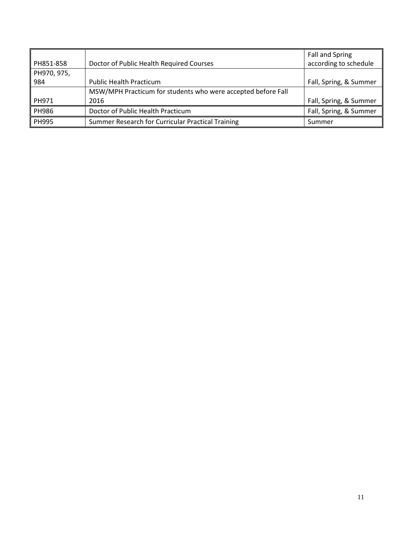| PH851-858    | Doctor of Public Health Required Courses                     | Fall and Spring<br>according to schedule |
|--------------|--------------------------------------------------------------|------------------------------------------|
| PH970, 975,  |                                                              |                                          |
| 984          | <b>Public Health Practicum</b>                               | Fall, Spring, & Summer                   |
|              | MSW/MPH Practicum for students who were accepted before Fall |                                          |
| PH971        | 2016                                                         | Fall, Spring, & Summer                   |
| PH986        | Doctor of Public Health Practicum                            | Fall, Spring, & Summer                   |
| <b>PH995</b> | Summer Research for Curricular Practical Training            | Summer                                   |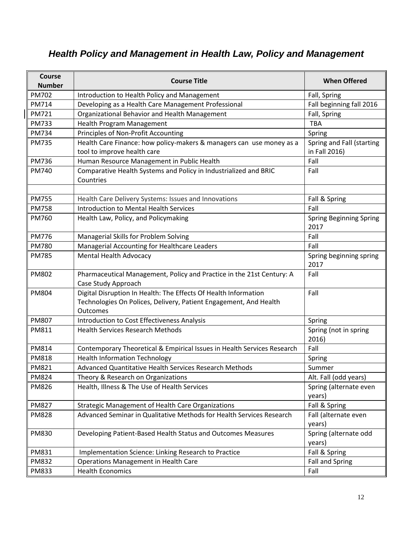# <span id="page-11-0"></span>*Health Policy and Management in Health Law, Policy and Management*

| <b>Course</b><br><b>Number</b> | <b>Course Title</b>                                                                                                                              | <b>When Offered</b>                        |
|--------------------------------|--------------------------------------------------------------------------------------------------------------------------------------------------|--------------------------------------------|
| <b>PM702</b>                   | Introduction to Health Policy and Management                                                                                                     | Fall, Spring                               |
| <b>PM714</b>                   | Developing as a Health Care Management Professional                                                                                              | Fall beginning fall 2016                   |
| PM721                          | Organizational Behavior and Health Management                                                                                                    | Fall, Spring                               |
| <b>PM733</b>                   | Health Program Management                                                                                                                        | <b>TBA</b>                                 |
| PM734                          | Principles of Non-Profit Accounting                                                                                                              | Spring                                     |
| <b>PM735</b>                   | Health Care Finance: how policy-makers & managers can use money as a<br>tool to improve health care                                              | Spring and Fall (starting<br>in Fall 2016) |
| <b>PM736</b>                   | Human Resource Management in Public Health                                                                                                       | Fall                                       |
| PM740                          | Comparative Health Systems and Policy in Industrialized and BRIC<br>Countries                                                                    | Fall                                       |
|                                |                                                                                                                                                  |                                            |
| <b>PM755</b>                   | Health Care Delivery Systems: Issues and Innovations                                                                                             | Fall & Spring                              |
| <b>PM758</b>                   | <b>Introduction to Mental Health Services</b>                                                                                                    | Fall                                       |
| PM760                          | Health Law, Policy, and Policymaking                                                                                                             | <b>Spring Beginning Spring</b><br>2017     |
| <b>PM776</b>                   | Managerial Skills for Problem Solving                                                                                                            | Fall                                       |
| <b>PM780</b>                   | Managerial Accounting for Healthcare Leaders                                                                                                     | Fall                                       |
| <b>PM785</b>                   | <b>Mental Health Advocacy</b>                                                                                                                    | Spring beginning spring<br>2017            |
| PM802                          | Pharmaceutical Management, Policy and Practice in the 21st Century: A<br>Case Study Approach                                                     | Fall                                       |
| <b>PM804</b>                   | Digital Disruption In Health: The Effects Of Health Information<br>Technologies On Polices, Delivery, Patient Engagement, And Health<br>Outcomes | Fall                                       |
| <b>PM807</b>                   | Introduction to Cost Effectiveness Analysis                                                                                                      | Spring                                     |
| PM811                          | <b>Health Services Research Methods</b>                                                                                                          | Spring (not in spring<br>2016)             |
| PM814                          | Contemporary Theoretical & Empirical Issues in Health Services Research                                                                          | Fall                                       |
| <b>PM818</b>                   | <b>Health Information Technology</b>                                                                                                             | Spring                                     |
| <b>PM821</b>                   | Advanced Quantitative Health Services Research Methods                                                                                           | Summer                                     |
| <b>PM824</b>                   | Theory & Research on Organizations                                                                                                               | Alt. Fall (odd years)                      |
| <b>PM826</b>                   | Health, Illness & The Use of Health Services                                                                                                     | Spring (alternate even<br>years)           |
| <b>PM827</b>                   | <b>Strategic Management of Health Care Organizations</b>                                                                                         | Fall & Spring                              |
| <b>PM828</b>                   | Advanced Seminar in Qualitative Methods for Health Services Research                                                                             | Fall (alternate even<br>years)             |
| <b>PM830</b>                   | Developing Patient-Based Health Status and Outcomes Measures                                                                                     | Spring (alternate odd<br>years)            |
| PM831                          | Implementation Science: Linking Research to Practice                                                                                             | Fall & Spring                              |
| <b>PM832</b>                   | <b>Operations Management in Health Care</b>                                                                                                      | <b>Fall and Spring</b>                     |
| PM833                          | <b>Health Economics</b>                                                                                                                          | Fall                                       |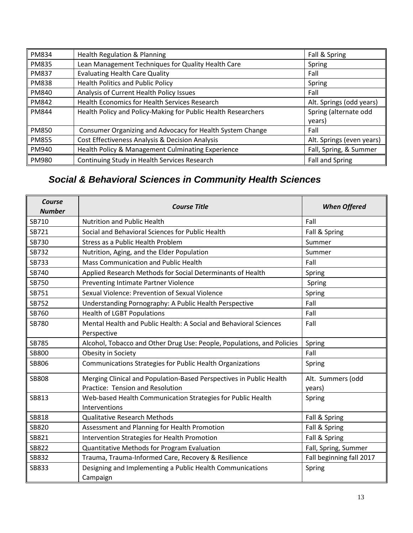| PM834        | <b>Health Regulation &amp; Planning</b>                       | Fall & Spring             |
|--------------|---------------------------------------------------------------|---------------------------|
| <b>PM835</b> | Lean Management Techniques for Quality Health Care            | Spring                    |
| <b>PM837</b> | <b>Evaluating Health Care Quality</b>                         | Fall                      |
| <b>PM838</b> | <b>Health Politics and Public Policy</b>                      | Spring                    |
| <b>PM840</b> | Analysis of Current Health Policy Issues                      | Fall                      |
| <b>PM842</b> | Health Economics for Health Services Research                 | Alt. Springs (odd years)  |
| <b>PM844</b> | Health Policy and Policy-Making for Public Health Researchers | Spring (alternate odd     |
|              |                                                               | years)                    |
| <b>PM850</b> | Consumer Organizing and Advocacy for Health System Change     | Fall                      |
| <b>PM855</b> | Cost Effectiveness Analysis & Decision Analysis               | Alt. Springs (even years) |
| PM940        | Health Policy & Management Culminating Experience             | Fall, Spring, & Summer    |
| PM980        | Continuing Study in Health Services Research                  | <b>Fall and Spring</b>    |

# <span id="page-12-0"></span>*Social & Behavioral Sciences in Community Health Sciences*

| Course<br><b>Number</b> | <b>Course Title</b>                                                          | <b>When Offered</b>      |
|-------------------------|------------------------------------------------------------------------------|--------------------------|
| SB710                   | <b>Nutrition and Public Health</b>                                           | Fall                     |
| SB721                   | Social and Behavioral Sciences for Public Health                             | Fall & Spring            |
| SB730                   | Stress as a Public Health Problem                                            | Summer                   |
| SB732                   | Nutrition, Aging, and the Elder Population                                   | Summer                   |
| SB733                   | Mass Communication and Public Health                                         | Fall                     |
| SB740                   | Applied Research Methods for Social Determinants of Health                   | Spring                   |
| SB750                   | Preventing Intimate Partner Violence                                         | Spring                   |
| SB751                   | Sexual Violence: Prevention of Sexual Violence                               | Spring                   |
| SB752                   | Understanding Pornography: A Public Health Perspective                       | Fall                     |
| SB760                   | <b>Health of LGBT Populations</b>                                            | Fall                     |
| SB780                   | Mental Health and Public Health: A Social and Behavioral Sciences            | Fall                     |
|                         | Perspective                                                                  |                          |
| SB785                   | Alcohol, Tobacco and Other Drug Use: People, Populations, and Policies       | Spring                   |
| SB800                   | Obesity in Society                                                           | Fall                     |
| SB806                   | Communications Strategies for Public Health Organizations                    | Spring                   |
| <b>SB808</b>            | Merging Clinical and Population-Based Perspectives in Public Health          | Alt. Summers (odd        |
|                         | Practice: Tension and Resolution                                             | years)                   |
| SB813                   | Web-based Health Communication Strategies for Public Health<br>Interventions | Spring                   |
| SB818                   | <b>Qualitative Research Methods</b>                                          | Fall & Spring            |
| SB820                   | Assessment and Planning for Health Promotion                                 | Fall & Spring            |
| SB821                   | Intervention Strategies for Health Promotion                                 | Fall & Spring            |
| SB822                   | Quantitative Methods for Program Evaluation                                  | Fall, Spring, Summer     |
| SB832                   | Trauma, Trauma-Informed Care, Recovery & Resilience                          | Fall beginning fall 2017 |
| SB833                   | Designing and Implementing a Public Health Communications                    | Spring                   |
|                         | Campaign                                                                     |                          |